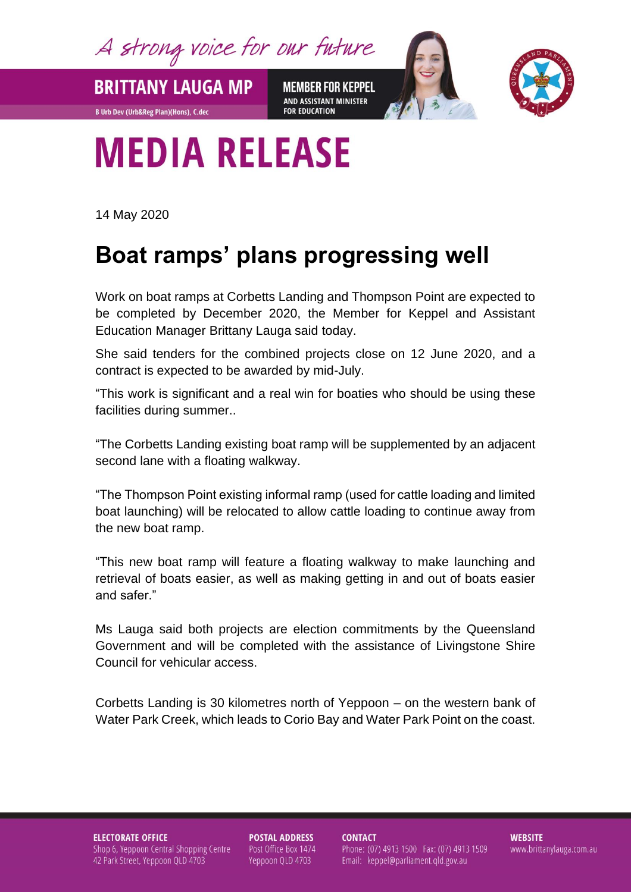A strong voice for our future

**MEMBER FOR KEPPEL** AND ASSISTANT MINISTER **FOR EDUCATION** 



## **MEDIA RELEASE**

**BRITTANY LAUGA MP** 

**B Urb Dev (Urb&Reg Plan)(Hons), C.dec** 

14 May 2020

## **Boat ramps' plans progressing well**

Work on boat ramps at Corbetts Landing and Thompson Point are expected to be completed by December 2020, the Member for Keppel and Assistant Education Manager Brittany Lauga said today.

She said tenders for the combined projects close on 12 June 2020, and a contract is expected to be awarded by mid-July.

"This work is significant and a real win for boaties who should be using these facilities during summer..

"The Corbetts Landing existing boat ramp will be supplemented by an adjacent second lane with a floating walkway.

"The Thompson Point existing informal ramp (used for cattle loading and limited boat launching) will be relocated to allow cattle loading to continue away from the new boat ramp.

"This new boat ramp will feature a floating walkway to make launching and retrieval of boats easier, as well as making getting in and out of boats easier and safer."

Ms Lauga said both projects are election commitments by the Queensland Government and will be completed with the assistance of Livingstone Shire Council for vehicular access.

Corbetts Landing is 30 kilometres north of Yeppoon – on the western bank of Water Park Creek, which leads to Corio Bay and Water Park Point on the coast.

**ELECTORATE OFFICE** Shop 6, Yeppoon Central Shopping Centre 42 Park Street, Yeppoon QLD 4703

**POSTAL ADDRESS** Post Office Box 1474 Yeppoon QLD 4703

**CONTACT** Phone: (07) 4913 1500 Fax: (07) 4913 1509 Email: keppel@parliament.qld.gov.au

**WEBSITE** www.brittanylauga.com.au